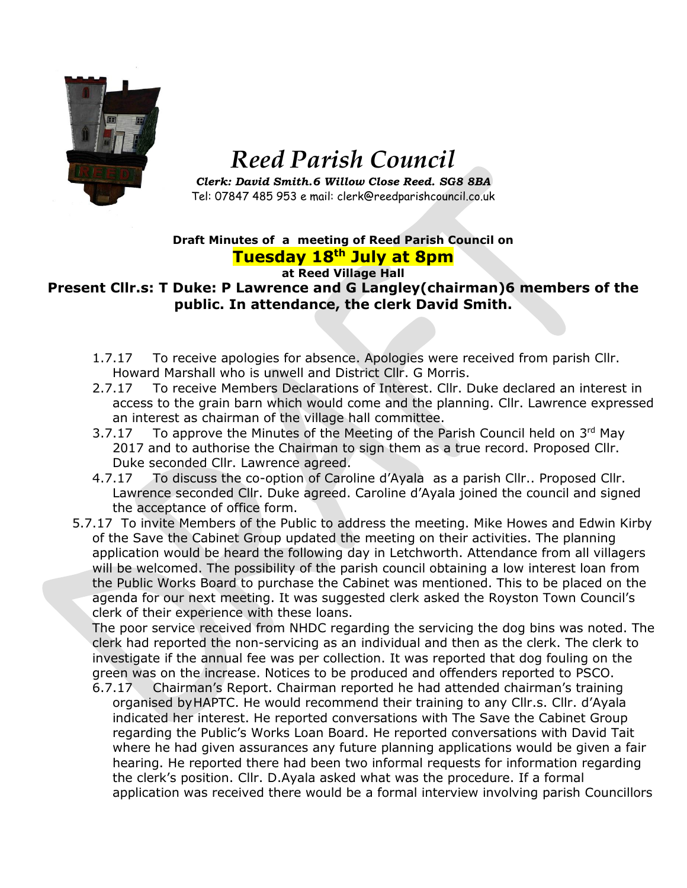

## *Reed Parish Council*

*Clerk: David Smith.6 Willow Close Reed. SG8 8BA* Tel: 07847 485 953 e mail: clerk@reedparishcouncil.co.uk

## **Draft Minutes of a meeting of Reed Parish Council on Tuesday 18th July at 8pm**

**at Reed Village Hall** 

## **Present Cllr.s: T Duke: P Lawrence and G Langley(chairman)6 members of the public. In attendance, the clerk David Smith.**

- 1.7.17 To receive apologies for absence. Apologies were received from parish Cllr. Howard Marshall who is unwell and District Cllr. G Morris.
- 2.7.17 To receive Members Declarations of Interest. Cllr. Duke declared an interest in access to the grain barn which would come and the planning. Cllr. Lawrence expressed an interest as chairman of the village hall committee.
- 3.7.17 To approve the Minutes of the Meeting of the Parish Council held on  $3<sup>rd</sup>$  May 2017 and to authorise the Chairman to sign them as a true record. Proposed Cllr. Duke seconded Cllr. Lawrence agreed.
- 4.7.17 To discuss the co-option of Caroline d'Ayala as a parish Cllr.. Proposed Cllr. Lawrence seconded Cllr. Duke agreed. Caroline d'Ayala joined the council and signed the acceptance of office form.
- 5.7.17 To invite Members of the Public to address the meeting. Mike Howes and Edwin Kirby of the Save the Cabinet Group updated the meeting on their activities. The planning application would be heard the following day in Letchworth. Attendance from all villagers will be welcomed. The possibility of the parish council obtaining a low interest loan from the Public Works Board to purchase the Cabinet was mentioned. This to be placed on the agenda for our next meeting. It was suggested clerk asked the Royston Town Council's clerk of their experience with these loans.

The poor service received from NHDC regarding the servicing the dog bins was noted. The clerk had reported the non-servicing as an individual and then as the clerk. The clerk to investigate if the annual fee was per collection. It was reported that dog fouling on the green was on the increase. Notices to be produced and offenders reported to PSCO.

6.7.17 Chairman's Report. Chairman reported he had attended chairman's training organised byHAPTC. He would recommend their training to any Cllr.s. Cllr. d'Ayala indicated her interest. He reported conversations with The Save the Cabinet Group regarding the Public's Works Loan Board. He reported conversations with David Tait where he had given assurances any future planning applications would be given a fair hearing. He reported there had been two informal requests for information regarding the clerk's position. Cllr. D.Ayala asked what was the procedure. If a formal application was received there would be a formal interview involving parish Councillors